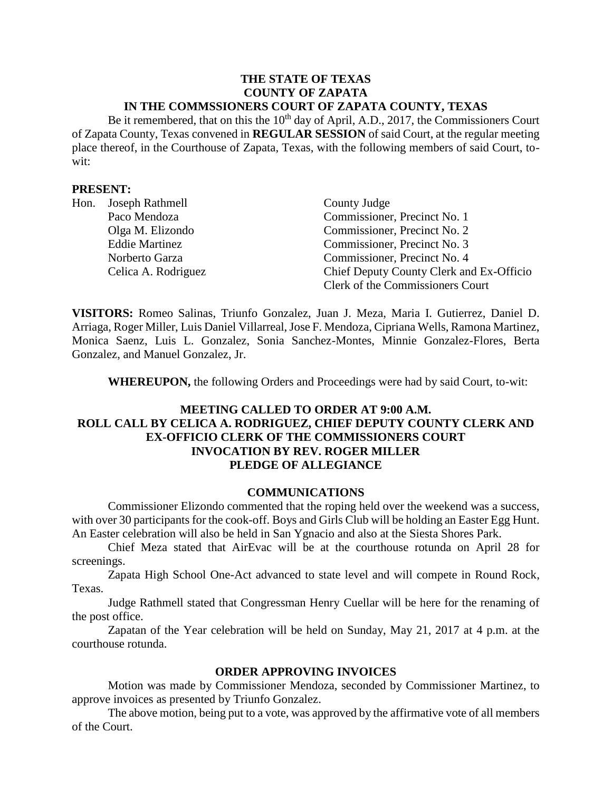#### **THE STATE OF TEXAS COUNTY OF ZAPATA IN THE COMMSSIONERS COURT OF ZAPATA COUNTY, TEXAS**

Be it remembered, that on this the  $10<sup>th</sup>$  day of April, A.D., 2017, the Commissioners Court of Zapata County, Texas convened in **REGULAR SESSION** of said Court, at the regular meeting place thereof, in the Courthouse of Zapata, Texas, with the following members of said Court, towit:

#### **PRESENT:**

|  | Hon. Joseph Rathmell  | County Judge                             |
|--|-----------------------|------------------------------------------|
|  | Paco Mendoza          | Commissioner, Precinct No. 1             |
|  | Olga M. Elizondo      | Commissioner, Precinct No. 2             |
|  | <b>Eddie Martinez</b> | Commissioner, Precinct No. 3             |
|  | Norberto Garza        | Commissioner, Precinct No. 4             |
|  | Celica A. Rodriguez   | Chief Deputy County Clerk and Ex-Officio |
|  |                       | Clerk of the Commissioners Court         |

**VISITORS:** Romeo Salinas, Triunfo Gonzalez, Juan J. Meza, Maria I. Gutierrez, Daniel D. Arriaga, Roger Miller, Luis Daniel Villarreal, Jose F. Mendoza, Cipriana Wells, Ramona Martinez, Monica Saenz, Luis L. Gonzalez, Sonia Sanchez-Montes, Minnie Gonzalez-Flores, Berta Gonzalez, and Manuel Gonzalez, Jr.

**WHEREUPON,** the following Orders and Proceedings were had by said Court, to-wit:

# **MEETING CALLED TO ORDER AT 9:00 A.M. ROLL CALL BY CELICA A. RODRIGUEZ, CHIEF DEPUTY COUNTY CLERK AND EX-OFFICIO CLERK OF THE COMMISSIONERS COURT INVOCATION BY REV. ROGER MILLER PLEDGE OF ALLEGIANCE**

#### **COMMUNICATIONS**

Commissioner Elizondo commented that the roping held over the weekend was a success, with over 30 participants for the cook-off. Boys and Girls Club will be holding an Easter Egg Hunt. An Easter celebration will also be held in San Ygnacio and also at the Siesta Shores Park.

Chief Meza stated that AirEvac will be at the courthouse rotunda on April 28 for screenings.

Zapata High School One-Act advanced to state level and will compete in Round Rock, Texas.

Judge Rathmell stated that Congressman Henry Cuellar will be here for the renaming of the post office.

Zapatan of the Year celebration will be held on Sunday, May 21, 2017 at 4 p.m. at the courthouse rotunda.

### **ORDER APPROVING INVOICES**

Motion was made by Commissioner Mendoza, seconded by Commissioner Martinez, to approve invoices as presented by Triunfo Gonzalez.

The above motion, being put to a vote, was approved by the affirmative vote of all members of the Court.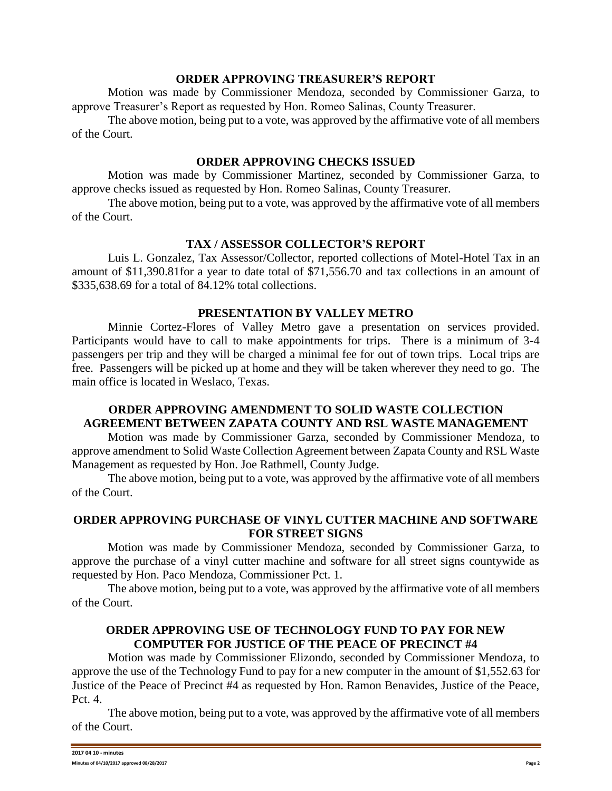#### **ORDER APPROVING TREASURER'S REPORT**

Motion was made by Commissioner Mendoza, seconded by Commissioner Garza, to approve Treasurer's Report as requested by Hon. Romeo Salinas, County Treasurer.

The above motion, being put to a vote, was approved by the affirmative vote of all members of the Court.

## **ORDER APPROVING CHECKS ISSUED**

Motion was made by Commissioner Martinez, seconded by Commissioner Garza, to approve checks issued as requested by Hon. Romeo Salinas, County Treasurer.

The above motion, being put to a vote, was approved by the affirmative vote of all members of the Court.

## **TAX / ASSESSOR COLLECTOR'S REPORT**

Luis L. Gonzalez, Tax Assessor/Collector, reported collections of Motel-Hotel Tax in an amount of \$11,390.81for a year to date total of \$71,556.70 and tax collections in an amount of \$335,638.69 for a total of 84.12% total collections.

## **PRESENTATION BY VALLEY METRO**

Minnie Cortez-Flores of Valley Metro gave a presentation on services provided. Participants would have to call to make appointments for trips. There is a minimum of 3-4 passengers per trip and they will be charged a minimal fee for out of town trips. Local trips are free. Passengers will be picked up at home and they will be taken wherever they need to go. The main office is located in Weslaco, Texas.

# **ORDER APPROVING AMENDMENT TO SOLID WASTE COLLECTION AGREEMENT BETWEEN ZAPATA COUNTY AND RSL WASTE MANAGEMENT**

Motion was made by Commissioner Garza, seconded by Commissioner Mendoza, to approve amendment to Solid Waste Collection Agreement between Zapata County and RSL Waste Management as requested by Hon. Joe Rathmell, County Judge.

The above motion, being put to a vote, was approved by the affirmative vote of all members of the Court.

### **ORDER APPROVING PURCHASE OF VINYL CUTTER MACHINE AND SOFTWARE FOR STREET SIGNS**

Motion was made by Commissioner Mendoza, seconded by Commissioner Garza, to approve the purchase of a vinyl cutter machine and software for all street signs countywide as requested by Hon. Paco Mendoza, Commissioner Pct. 1.

The above motion, being put to a vote, was approved by the affirmative vote of all members of the Court.

## **ORDER APPROVING USE OF TECHNOLOGY FUND TO PAY FOR NEW COMPUTER FOR JUSTICE OF THE PEACE OF PRECINCT #4**

Motion was made by Commissioner Elizondo, seconded by Commissioner Mendoza, to approve the use of the Technology Fund to pay for a new computer in the amount of \$1,552.63 for Justice of the Peace of Precinct #4 as requested by Hon. Ramon Benavides, Justice of the Peace, Pct. 4.

The above motion, being put to a vote, was approved by the affirmative vote of all members of the Court.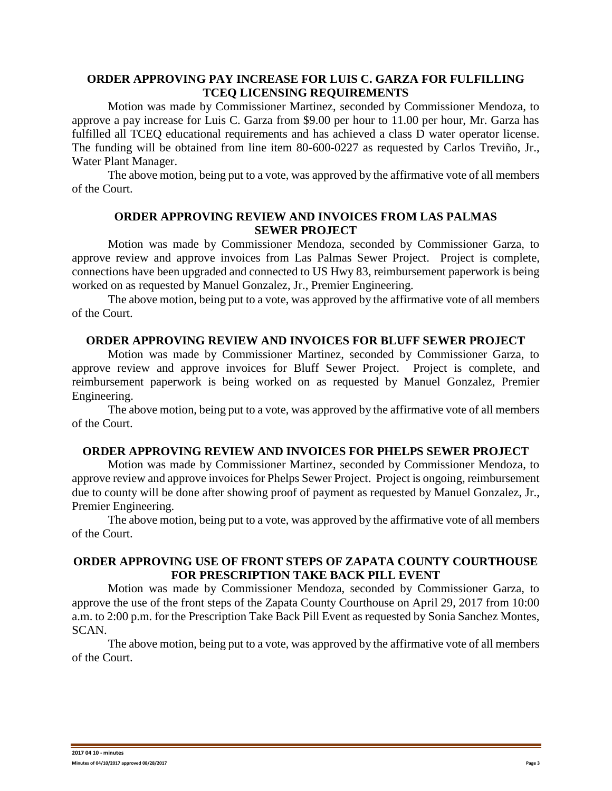## **ORDER APPROVING PAY INCREASE FOR LUIS C. GARZA FOR FULFILLING TCEQ LICENSING REQUIREMENTS**

Motion was made by Commissioner Martinez, seconded by Commissioner Mendoza, to approve a pay increase for Luis C. Garza from \$9.00 per hour to 11.00 per hour, Mr. Garza has fulfilled all TCEQ educational requirements and has achieved a class D water operator license. The funding will be obtained from line item 80-600-0227 as requested by Carlos Treviño, Jr., Water Plant Manager.

The above motion, being put to a vote, was approved by the affirmative vote of all members of the Court.

## **ORDER APPROVING REVIEW AND INVOICES FROM LAS PALMAS SEWER PROJECT**

Motion was made by Commissioner Mendoza, seconded by Commissioner Garza, to approve review and approve invoices from Las Palmas Sewer Project. Project is complete, connections have been upgraded and connected to US Hwy 83, reimbursement paperwork is being worked on as requested by Manuel Gonzalez, Jr., Premier Engineering.

The above motion, being put to a vote, was approved by the affirmative vote of all members of the Court.

#### **ORDER APPROVING REVIEW AND INVOICES FOR BLUFF SEWER PROJECT**

Motion was made by Commissioner Martinez, seconded by Commissioner Garza, to approve review and approve invoices for Bluff Sewer Project. Project is complete, and reimbursement paperwork is being worked on as requested by Manuel Gonzalez, Premier Engineering.

The above motion, being put to a vote, was approved by the affirmative vote of all members of the Court.

#### **ORDER APPROVING REVIEW AND INVOICES FOR PHELPS SEWER PROJECT**

Motion was made by Commissioner Martinez, seconded by Commissioner Mendoza, to approve review and approve invoices for Phelps Sewer Project. Project is ongoing, reimbursement due to county will be done after showing proof of payment as requested by Manuel Gonzalez, Jr., Premier Engineering.

The above motion, being put to a vote, was approved by the affirmative vote of all members of the Court.

### **ORDER APPROVING USE OF FRONT STEPS OF ZAPATA COUNTY COURTHOUSE FOR PRESCRIPTION TAKE BACK PILL EVENT**

Motion was made by Commissioner Mendoza, seconded by Commissioner Garza, to approve the use of the front steps of the Zapata County Courthouse on April 29, 2017 from 10:00 a.m. to 2:00 p.m. for the Prescription Take Back Pill Event as requested by Sonia Sanchez Montes, SCAN.

The above motion, being put to a vote, was approved by the affirmative vote of all members of the Court.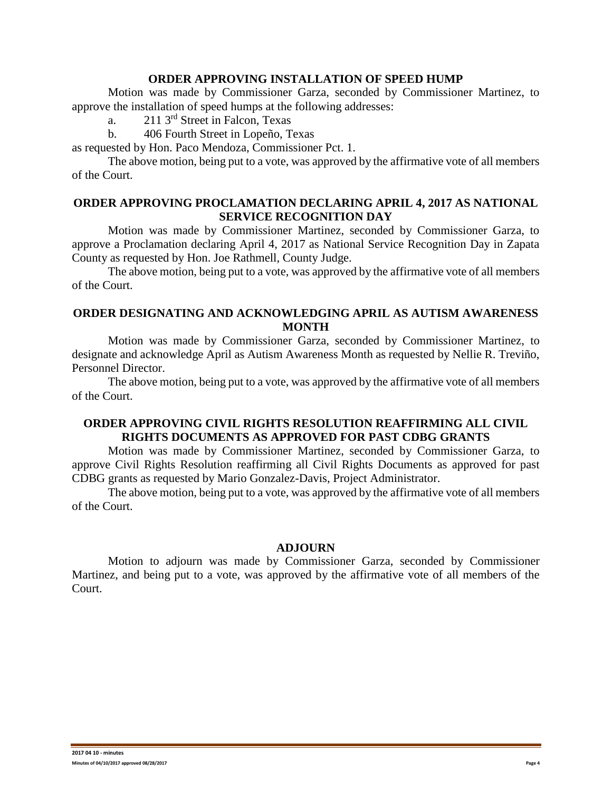## **ORDER APPROVING INSTALLATION OF SPEED HUMP**

Motion was made by Commissioner Garza, seconded by Commissioner Martinez, to approve the installation of speed humps at the following addresses:

a.  $211 \, 3^{rd}$  Street in Falcon, Texas

b. 406 Fourth Street in Lopeño, Texas

as requested by Hon. Paco Mendoza, Commissioner Pct. 1.

The above motion, being put to a vote, was approved by the affirmative vote of all members of the Court.

## **ORDER APPROVING PROCLAMATION DECLARING APRIL 4, 2017 AS NATIONAL SERVICE RECOGNITION DAY**

Motion was made by Commissioner Martinez, seconded by Commissioner Garza, to approve a Proclamation declaring April 4, 2017 as National Service Recognition Day in Zapata County as requested by Hon. Joe Rathmell, County Judge.

The above motion, being put to a vote, was approved by the affirmative vote of all members of the Court.

## **ORDER DESIGNATING AND ACKNOWLEDGING APRIL AS AUTISM AWARENESS MONTH**

Motion was made by Commissioner Garza, seconded by Commissioner Martinez, to designate and acknowledge April as Autism Awareness Month as requested by Nellie R. Treviño, Personnel Director.

The above motion, being put to a vote, was approved by the affirmative vote of all members of the Court.

## **ORDER APPROVING CIVIL RIGHTS RESOLUTION REAFFIRMING ALL CIVIL RIGHTS DOCUMENTS AS APPROVED FOR PAST CDBG GRANTS**

Motion was made by Commissioner Martinez, seconded by Commissioner Garza, to approve Civil Rights Resolution reaffirming all Civil Rights Documents as approved for past CDBG grants as requested by Mario Gonzalez-Davis, Project Administrator.

The above motion, being put to a vote, was approved by the affirmative vote of all members of the Court.

#### **ADJOURN**

Motion to adjourn was made by Commissioner Garza, seconded by Commissioner Martinez, and being put to a vote, was approved by the affirmative vote of all members of the Court.